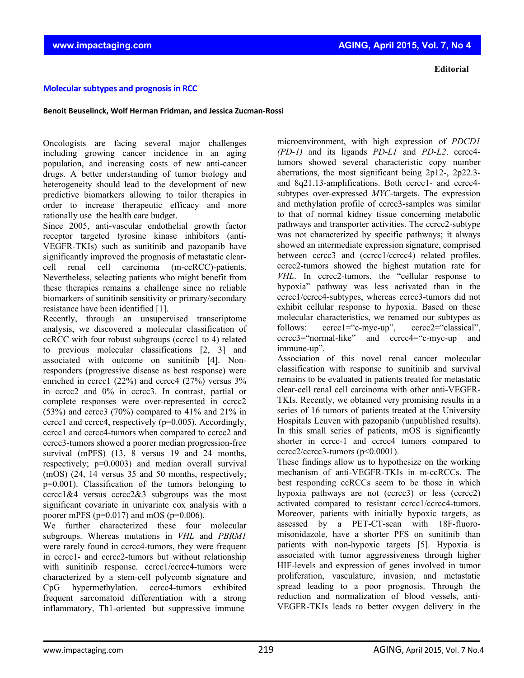**Editorial**

## **Molecularsubtypes and prognosisin RCC**

## **Benoit Beuselinck, Wolf Herman Fridman, and Jessica Zucman‐Rossi**

Oncologists are facing several major challenges including growing cancer incidence in an aging population, and increasing costs of new anti-cancer drugs. A better understanding of tumor biology and heterogeneity should lead to the development of new predictive biomarkers allowing to tailor therapies in order to increase therapeutic efficacy and more rationally use the health care budget.

Since 2005, anti-vascular endothelial growth factor receptor targeted tyrosine kinase inhibitors (anti-VEGFR-TKIs) such as sunitinib and pazopanib have significantly improved the prognosis of metastatic clearcell renal cell carcinoma (m-ccRCC)-patients. Nevertheless, selecting patients who might benefit from these therapies remains a challenge since no reliable biomarkers of sunitinib sensitivity or primary/secondary resistance have been identified [1].

Recently, through an unsupervised transcriptome analysis, we discovered a molecular classification of ccRCC with four robust subgroups (ccrcc1 to 4) related to previous molecular classifications [2, 3] and associated with outcome on sunitinib [4]. Nonresponders (progressive disease as best response) were enriched in ccrcc1 (22%) and ccrcc4 (27%) versus 3% in ccrcc2 and 0% in ccrcc3. In contrast, partial or complete responses were over-represented in ccrcc2  $(53%)$  and ccrcc3 (70%) compared to 41% and 21% in ccrcc1 and ccrcc4, respectively (p=0.005). Accordingly, ccrcc1 and ccrcc4-tumors when compared to ccrcc2 and ccrcc3-tumors showed a poorer median progression-free survival (mPFS) (13, 8 versus 19 and 24 months, respectively; p=0.0003) and median overall survival (mOS) (24, 14 versus 35 and 50 months, respectively; p=0.001). Classification of the tumors belonging to  $cerc1&4$  versus  $ccrc2&3$  subgroups was the most significant covariate in univariate cox analysis with a poorer mPFS ( $p=0.017$ ) and mOS ( $p=0.006$ ).

We further characterized these four molecular subgroups. Whereas mutations in *VHL* and *PBRM1* were rarely found in ccrcc4-tumors, they were frequent in ccrcc1- and ccrcc2-tumors but without relationship with sunitinib response. ccrcc1/ccrcc4-tumors were characterized by a stem-cell polycomb signature and CpG hypermethylation. ccrcc4-tumors exhibited frequent sarcomatoid differentiation with a strong inflammatory, Th1-oriented but suppressive immune

microenvironment, with high expression of *PDCD1 (PD-1)* and its ligands *PD-L1* and *PD-L2*. ccrcc4 tumors showed several characteristic copy number aberrations, the most significant being 2p12-, 2p22.3 and 8q21.13-amplifications. Both ccrcc1- and ccrcc4 subtypes over-expressed *MYC*-targets. The expression and methylation profile of ccrcc3-samples was similar to that of normal kidney tissue concerning metabolic pathways and transporter activities. The ccrcc2-subtype was not characterized by specific pathways; it always showed an intermediate expression signature, comprised between ccrcc3 and (ccrcc1/ccrcc4) related profiles. ccrcc2-tumors showed the highest mutation rate for *VHL*. In ccrcc2-tumors, the "cellular response to hypoxia" pathway was less activated than in the ccrcc1/ccrcc4-subtypes, whereas ccrcc3-tumors did not exhibit cellular response to hypoxia. Based on these molecular characteristics, we renamed our subtypes as follows: ccrcc1="c-myc-up", ccrcc2="classical", ccrcc3="normal-like" and ccrcc4="c-myc-up and immune-up".

Association of this novel renal cancer molecular classification with response to sunitinib and survival remains to be evaluated in patients treated for metastatic clear-cell renal cell carcinoma with other anti-VEGFR-TKIs. Recently, we obtained very promising results in a series of 16 tumors of patients treated at the University Hospitals Leuven with pazopanib (unpublished results). In this small series of patients, mOS is significantly shorter in ccrcc-1 and ccrcc4 tumors compared to  $ccrec2/ccrec3-tumors (p<0.0001).$ 

These findings allow us to hypothesize on the working mechanism of anti-VEGFR-TKIs in m-ccRCCs. The best responding ccRCCs seem to be those in which hypoxia pathways are not (ccrcc3) or less (ccrcc2) activated compared to resistant ccrcc1/ccrcc4-tumors. Moreover, patients with initially hypoxic targets, as assessed by a PET-CT-scan with 18F-fluoromisonidazole, have a shorter PFS on sunitinib than patients with non-hypoxic targets [5]. Hypoxia is associated with tumor aggressiveness through higher HIF-levels and expression of genes involved in tumor proliferation, vasculature, invasion, and metastatic spread leading to a poor prognosis. Through the reduction and normalization of blood vessels, anti-VEGFR-TKIs leads to better oxygen delivery in the